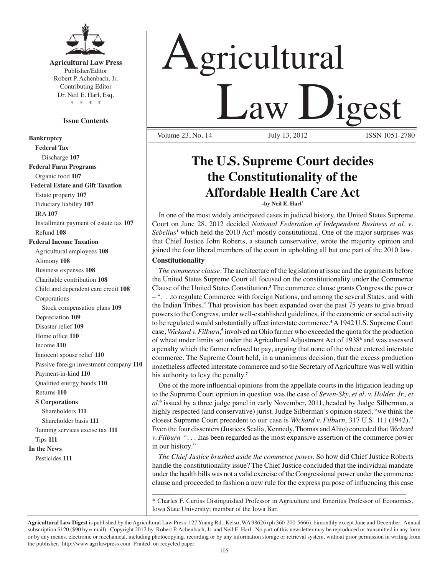

## **Agricultural Law Press**

Publisher/Editor Robert P. Achenbach, Jr. Contributing Editor Dr. Neil E. Harl, Esq. \* \* \* \*

## **Issue Contents**

**Bankruptcy Federal Tax** Discharge **107 Federal Farm Programs** Organic food **107 Federal Estate and Gift Taxation** Estate property **107** Fiduciary liability **107** IRA **107** Installment payment of estate tax **107** Refund **108 Federal Income Taxation** Agricultural employees **108** Alimony **108** Business expenses **108** Charitable contribution **108** Child and dependent care credit **108** Corporations Stock compensation plans **109** Depreciation **109** Disaster relief **109** Home office **110** Income **110** Innocent spouse relief **110** Passive foreign investment company **110** Payment-in-kind **110** Qualified energy bonds **110** Returns **110 S Corporations** Shareholders **111** Shareholder basis **111** Tanning services excise tax **111** Tips **111 In the News** Pesticides **111**

# Agricultural Law Digest Volume 23, No. 14

## **The U.S. Supreme Court decides the Constitutionality of the Affordable Health Care Act**

**-by Neil E. Harl\*** 

In one of the most widely anticipated cases in judicial history, the United States Supreme Court on June 28, 2012 decided *National Federation of Independent Business et al. v*. Sebelius<sup>1</sup> which held the 2010 Act<sup>2</sup> mostly constitutional. One of the major surprises was that Chief Justice John Roberts, a staunch conservative, wrote the majority opinion and joined the four liberal members of the court in upholding all but one part of the 2010 law.

## **Constitutionality**

*The commerce clause.* The architecture of the legislation at issue and the arguments before the United States Supreme Court all focused on the constitutionality under the Commerce Clause of the United States Constitution.**<sup>3</sup>** The commerce clause grants Congress the power – ". . .to regulate Commerce with foreign Nations, and among the several States, and with the Indian Tribes." That provision has been expanded over the past 75 years to give broad powers to the Congress, under well-established guidelines, if the economic or social activity to be regulated would substantially affect interstate commerce.<sup>4</sup> A 1942 U.S. Supreme Court case, *Wickard v. Filburn,***<sup>5</sup>** involved an Ohio farmer who exceeded the quota for the production of wheat under limits set under the Agricultural Adjustment Act of 1938**<sup>6</sup>** and was assessed a penalty which the farmer refused to pay, arguing that none of the wheat entered interstate commerce. The Supreme Court held, in a unanimous decision, that the excess production nonetheless affected interstate commerce and so the Secretary of Agriculture was well within his authority to levy the penalty.**<sup>7</sup>**

 One of the more influential opinions from the appellate courts in the litigation leading up to the Supreme Court opinion in question was the case of *Seven-Sky, et al. v. Holder, Jr., et al.***<sup>8</sup>** issued by a three judge panel in early November, 2011, headed by Judge Silberman, a highly respected (and conservative) jurist. Judge Silberman's opinion stated, "we think the closest Supreme Court precedent to our case is *Wickard v. Filburn,* 317 U.S. 111 (1942)." Even the four dissenters (Justices Scalia, Kennedy, Thomas and Alito) conceded that *Wickard v. Filburn* ". . . .has been regarded as the most expansive assertion of the commerce power in our history."

*The Chief Justice brushed aside the commerce power.* So how did Chief Justice Roberts handle the constitutionality issue? The Chief Justice concluded that the individual mandate under the health bills was not a valid exercise of the Congressional power under the commerce clause and proceeded to fashion a new rule for the express purpose of influencing this case

\* Charles F. Curtiss Distinguished Professor in Agriculture and Emeritus Professor of Economics, Iowa State University; member of the Iowa Bar.

\_\_\_\_\_\_\_\_\_\_\_\_\_\_\_\_\_\_\_\_\_\_\_\_\_\_\_\_\_\_\_\_\_\_\_\_\_\_\_\_\_\_\_\_\_\_\_\_\_\_\_\_\_\_\_\_\_\_\_\_\_\_\_\_\_\_\_\_\_\_

**Agricultural Law Digest** is published by the Agricultural Law Press, 127 Young Rd., Kelso, WA 98626 (ph 360-200-5666), bimonthly except June and December. Annual subscription \$120 (\$90 by e-mail). Copyright 2012 by Robert P. Achenbach, Jr. and Neil E. Harl. No part of this newsletter may be reproduced or transmitted in any form or by any means, electronic or mechanical, including photocopying, recording or by any information storage or retrieval system, without prior permission in writing from the publisher. http://www.agrilawpress.com Printed on recycled paper.